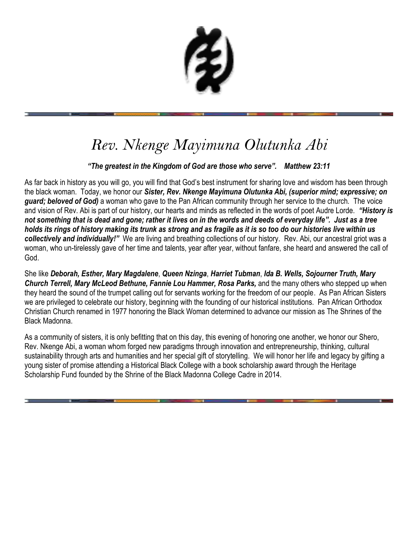# *Rev. Nkenge Mayimuna Olutunka Abi*

## *"The greatest in the Kingdom of God are those who serve". Matthew 23:11*

As far back in history as you will go, you will find that God's best instrument for sharing love and wisdom has been through the black woman. Today, we honor our *Sister, Rev. Nkenge Mayimuna Olutunka Abi, (superior mind; expressive; on guard; beloved of God)* a woman who gave to the Pan African community through her service to the church. The voice and vision of Rev. Abi is part of our history, our hearts and minds as reflected in the words of poet Audre Lorde. *"History is not something that is dead and gone; rather it lives on in the words and deeds of everyday life". Just as a tree holds its rings of history making its trunk as strong and as fragile as it is so too do our histories live within us collectively and individually!"* We are living and breathing collections of our history. Rev. Abi, our ancestral griot was a woman, who un-tirelessly gave of her time and talents, year after year, without fanfare, she heard and answered the call of God.

She like *Deborah, Esther, Mary Magdalene*, *Queen Nzinga*, *Harriet Tubman*, *Ida B. Wells, Sojourner Truth, Mary Church Terrell, Mary McLeod Bethune, Fannie Lou Hammer, Rosa Parks,* and the many others who stepped up when they heard the sound of the trumpet calling out for servants working for the freedom of our people. As Pan African Sisters we are privileged to celebrate our history, beginning with the founding of our historical institutions. Pan African Orthodox Christian Church renamed in 1977 honoring the Black Woman determined to advance our mission as The Shrines of the Black Madonna.

As a community of sisters, it is only befitting that on this day, this evening of honoring one another, we honor our Shero, Rev. Nkenge Abi, a woman whom forged new paradigms through innovation and entrepreneurship, thinking, cultural sustainability through arts and humanities and her special gift of storytelling. We will honor her life and legacy by gifting a young sister of promise attending a Historical Black College with a book scholarship award through the Heritage Scholarship Fund founded by the Shrine of the Black Madonna College Cadre in 2014.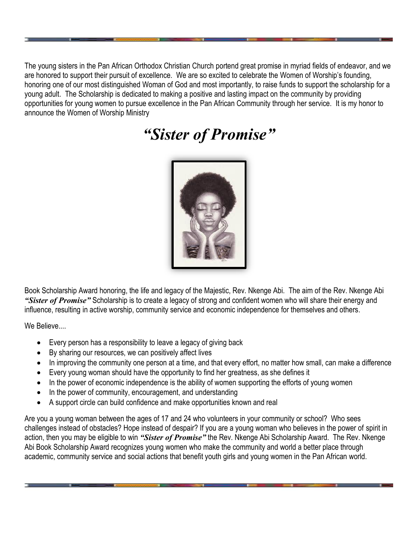The young sisters in the Pan African Orthodox Christian Church portend great promise in myriad fields of endeavor, and we are honored to support their pursuit of excellence. We are so excited to celebrate the Women of Worship's founding, honoring one of our most distinguished Woman of God and most importantly, to raise funds to support the scholarship for a young adult. The Scholarship is dedicated to making a positive and lasting impact on the community by providing opportunities for young women to pursue excellence in the Pan African Community through her service. It is my honor to announce the Women of Worship Ministry

*"Sister of Promise"*



Book Scholarship Award honoring, the life and legacy of the Majestic, Rev. Nkenge Abi. The aim of the Rev. Nkenge Abi *"Sister of Promise"* Scholarship is to create a legacy of strong and confident women who will share their energy and influence, resulting in active worship, community service and economic independence for themselves and others.

We Believe....

- Every person has a responsibility to leave a legacy of giving back
- By sharing our resources, we can positively affect lives
- In improving the community one person at a time, and that every effort, no matter how small, can make a difference
- Every young woman should have the opportunity to find her greatness, as she defines it
- In the power of economic independence is the ability of women supporting the efforts of young women
- In the power of community, encouragement, and understanding
- A support circle can build confidence and make opportunities known and real

Are you a young woman between the ages of 17 and 24 who volunteers in your community or school? Who sees challenges instead of obstacles? Hope instead of despair? If you are a young woman who believes in the power of spirit in action, then you may be eligible to win *"Sister of Promise"* the Rev. Nkenge Abi Scholarship Award. The Rev. Nkenge Abi Book Scholarship Award recognizes young women who make the community and world a better place through academic, community service and social actions that benefit youth girls and young women in the Pan African world.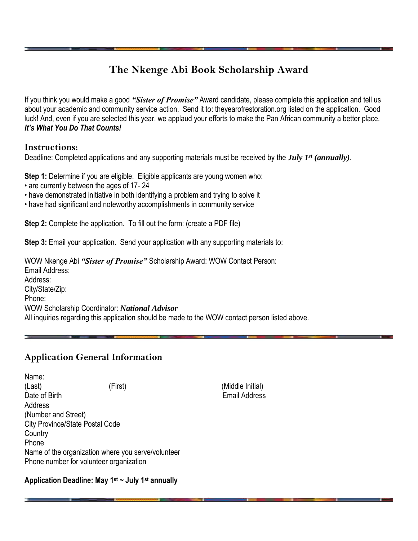## **The Nkenge Abi Book Scholarship Award**

If you think you would make a good *"Sister of Promise"* Award candidate, please complete this application and tell us about your academic and community service action. Send it to: theyearofrestoration.org listed on the application. Good luck! And, even if you are selected this year, we applaud your efforts to make the Pan African community a better place. *It's What You Do That Counts!*

#### **Instructions:**

Deadline: Completed applications and any supporting materials must be received by the *July 1st (annually)*.

**Step 1:** Determine if you are eligible. Eligible applicants are young women who:

- are currently between the ages of 17- 24
- have demonstrated initiative in both identifying a problem and trying to solve it
- have had significant and noteworthy accomplishments in community service

**Step 2:** Complete the application. To fill out the form: (create a PDF file)

**Step 3:** Email your application. Send your application with any supporting materials to:

WOW Nkenge Abi *"Sister of Promise"* Scholarship Award: WOW Contact Person: Email Address: Address: City/State/Zip: Phone: WOW Scholarship Coordinator: *National Advisor* All inquiries regarding this application should be made to the WOW contact person listed above.

## **Application General Information**

Name: (Last) (First) (Middle Initial) Date of Birth **Email Address Address** (Number and Street) City Province/State Postal Code **Country** Phone Name of the organization where you serve/volunteer Phone number for volunteer organization

**Application Deadline: May 1st ~ July 1st annually**